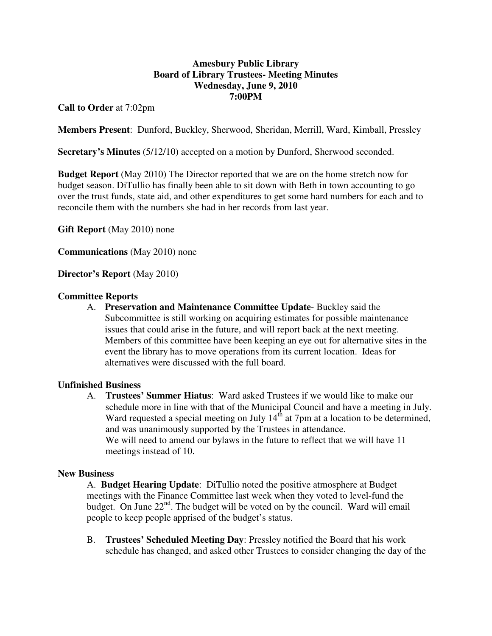# **Amesbury Public Library Board of Library Trustees- Meeting Minutes Wednesday, June 9, 2010 7:00PM**

**Call to Order** at 7:02pm

**Members Present**: Dunford, Buckley, Sherwood, Sheridan, Merrill, Ward, Kimball, Pressley

**Secretary's Minutes** (5/12/10) accepted on a motion by Dunford, Sherwood seconded.

**Budget Report** (May 2010) The Director reported that we are on the home stretch now for budget season. DiTullio has finally been able to sit down with Beth in town accounting to go over the trust funds, state aid, and other expenditures to get some hard numbers for each and to reconcile them with the numbers she had in her records from last year.

**Gift Report** (May 2010) none

**Communications** (May 2010) none

**Director's Report** (May 2010)

### **Committee Reports**

A. **Preservation and Maintenance Committee Update**- Buckley said the Subcommittee is still working on acquiring estimates for possible maintenance issues that could arise in the future, and will report back at the next meeting. Members of this committee have been keeping an eye out for alternative sites in the event the library has to move operations from its current location. Ideas for alternatives were discussed with the full board.

### **Unfinished Business**

A. **Trustees' Summer Hiatus**: Ward asked Trustees if we would like to make our schedule more in line with that of the Municipal Council and have a meeting in July. Ward requested a special meeting on July  $14<sup>th</sup>$  at 7pm at a location to be determined, and was unanimously supported by the Trustees in attendance. We will need to amend our bylaws in the future to reflect that we will have 11 meetings instead of 10.

### **New Business**

A. **Budget Hearing Update**: DiTullio noted the positive atmosphere at Budget meetings with the Finance Committee last week when they voted to level-fund the budget. On June  $22<sup>nd</sup>$ . The budget will be voted on by the council. Ward will email people to keep people apprised of the budget's status.

B. **Trustees' Scheduled Meeting Day**: Pressley notified the Board that his work schedule has changed, and asked other Trustees to consider changing the day of the